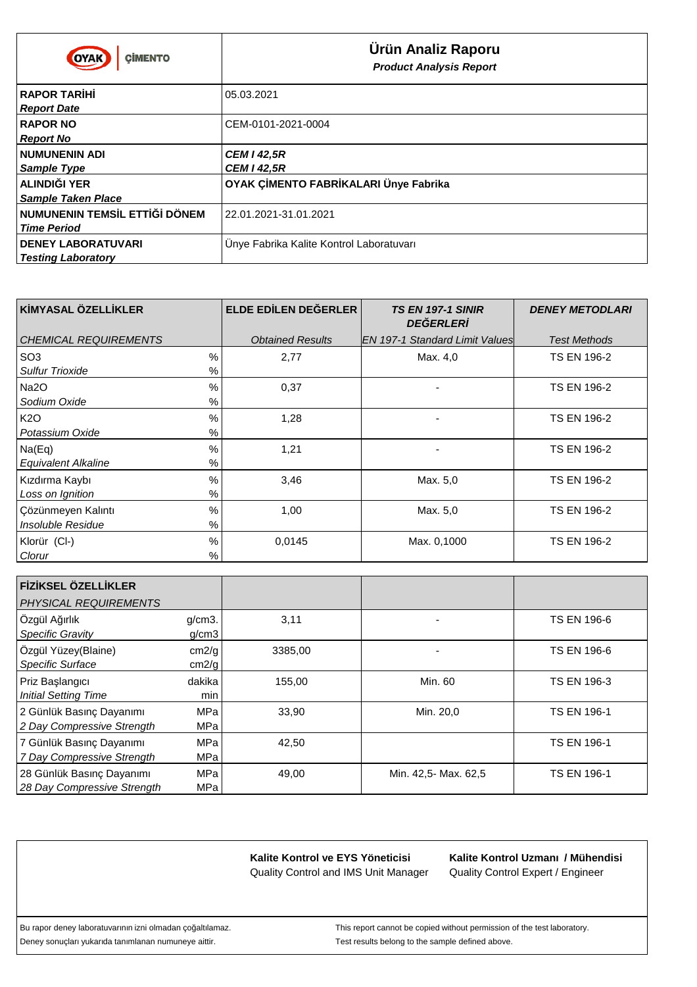| <b>CIMENTO</b><br><b>OYAK</b>                                     | Ürün Analiz Raporu<br><b>Product Analysis Report</b> |
|-------------------------------------------------------------------|------------------------------------------------------|
| <b>RAPOR TAR H</b><br><b>Report Date</b>                          | 05.03.2021                                           |
| <b>RAPOR NO</b><br><b>Report No</b>                               | CEM-0101-2021-0004                                   |
| <b>NUMUNENIN ADI</b><br>Sample Type                               | <b>CEM I 42,5R</b><br><b>CEM I 42,5R</b>             |
| ALINDI I YER<br><b>Sample Taken Place</b>                         | OYAK Ç MENTO FABR KALARI Ünye Fabrika                |
| <b>DÖNEM</b><br><b>NUMUNENIN TEMS L ETT</b><br><b>Time Period</b> | 22.01.2021-31.01.2021                                |
| <b>DENEY LABORATUVARI</b><br><b>Testing Laboratory</b>            | Unye Fabrika Kalite Kontrol Laboratuvarı             |

| K MYASAL ÖZELL KLER             | ELDE ED LEN DE ERLER    | <b>TS EN 197-1 SINIR</b><br><b>DE ERLER</b> | <b>DENEY METODLARI</b> |
|---------------------------------|-------------------------|---------------------------------------------|------------------------|
| CHEMICAL REQUIREMENTS           | <b>Obtained Results</b> | <b>IEN 197-1 Standard Limit Values</b>      | <b>Test Methods</b>    |
| SO <sub>3</sub><br>$\%$         | 2,77                    | Max. 4,0                                    | <b>TS EN 196-2</b>     |
| <b>Sulfur Trioxide</b><br>%     |                         |                                             |                        |
| $\%$<br>Na2O                    | 0,37                    |                                             | <b>TS EN 196-2</b>     |
| Sodium Oxide<br>%               |                         |                                             |                        |
| K2O<br>$\%$                     | 1,28                    |                                             | <b>TS EN 196-2</b>     |
| Potassium Oxide<br>%            |                         |                                             |                        |
| $\%$<br>Na(Eq)                  | 1,21                    |                                             | <b>TS EN 196-2</b>     |
| %<br><b>Equivalent Alkaline</b> |                         |                                             |                        |
| $\%$<br>Kızdırma Kaybı          | 3,46                    | Max. 5,0                                    | <b>TS EN 196-2</b>     |
| %<br>Loss on Ignition           |                         |                                             |                        |
| $\%$<br>∣Çözünmeyen Kalıntı     | 1,00                    | Max. 5,0                                    | <b>TS EN 196-2</b>     |
| Insoluble Residue<br>%          |                         |                                             |                        |
| $\%$<br>Klorür (Cl-)            | 0,0145                  | Max. 0,1000                                 | <b>TS EN 196-2</b>     |
| %<br>Clorur                     |                         |                                             |                        |

| F Z KSEL ÖZELL KLER<br>PHYSICAL REQUIREMENTS             |                    |         |                      |                    |
|----------------------------------------------------------|--------------------|---------|----------------------|--------------------|
| Özgül A ırlık<br><b>Specific Gravity</b>                 | $g/cm3$ .<br>q/cm3 | 3,11    |                      | <b>TS EN 196-6</b> |
| Özgül Yüzey(Blaine)<br>Specific Surface                  | cm2/g<br>cm2/g     | 3385,00 |                      | <b>TS EN 196-6</b> |
| Priz Ba langici<br><b>Initial Setting Time</b>           | dakika<br>min      | 155,00  | Min. 60              | <b>TS EN 196-3</b> |
| 2 Günlük Basınç Dayanımı<br>2 Day Compressive Strength   | <b>MPa</b><br>MPa  | 33,90   | Min. 20,0            | <b>TS EN 196-1</b> |
| 7 Günlük Basınç Dayanımı<br>7 Day Compressive Strength   | MPa<br>MPa         | 42,50   |                      | <b>TS EN 196-1</b> |
| 28 Günlük Basınç Dayanımı<br>28 Day Compressive Strength | MPa<br>MPa         | 49,00   | Min. 42,5- Max. 62,5 | <b>TS EN 196-1</b> |

Quality Control Expert / Engineer **Kalite Kontrol Uzmanı / Mühendisi**

Deney sonuçları yukarıda tanımlanan numuneye aittir. Test results belong to the sample defined above.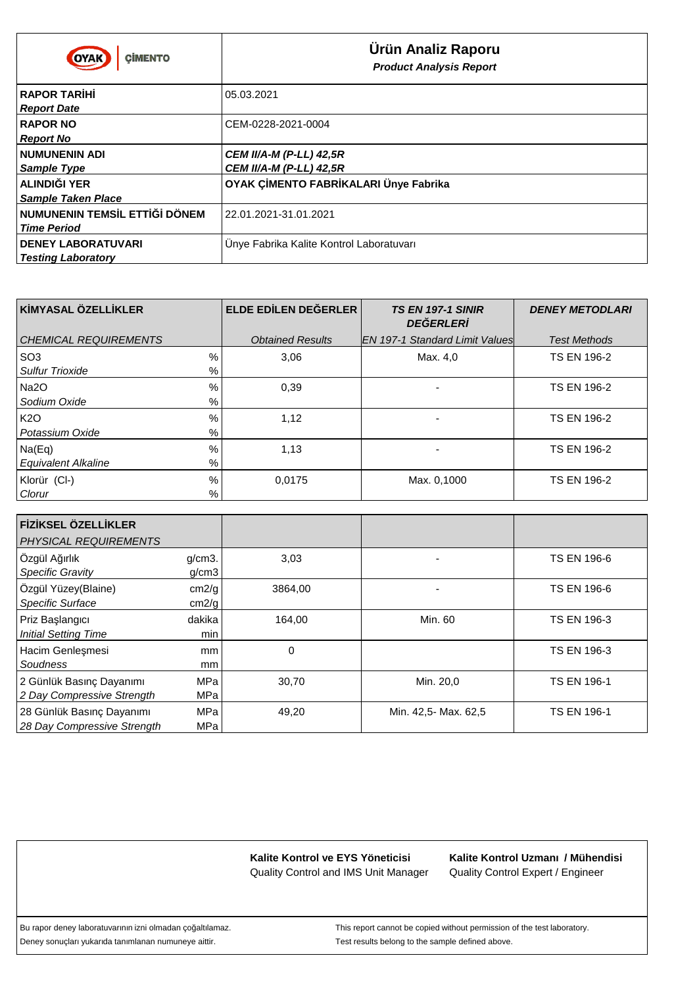| <b>CIMENTO</b><br>OYAK                                            | Ürün Analiz Raporu<br><b>Product Analysis Report</b>             |
|-------------------------------------------------------------------|------------------------------------------------------------------|
| <b>RAPOR TAR H</b><br><b>Report Date</b>                          | 05.03.2021                                                       |
| <b>RAPOR NO</b><br><b>Report No</b>                               | CEM-0228-2021-0004                                               |
| <b>NUMUNENIN ADI</b><br><b>Sample Type</b>                        | <b>CEM II/A-M (P-LL) 42,5R</b><br><b>CEM II/A-M (P-LL) 42,5R</b> |
| ALINDI I YER<br><b>Sample Taken Place</b>                         | OYAK Ç MENTO FABR KALARI Ünye Fabrika                            |
| <b>DÖNEM</b><br><b>NUMUNENIN TEMS L ETT</b><br><b>Time Period</b> | 22.01.2021-31.01.2021                                            |
| <b>DENEY LABORATUVARI</b><br><b>Testing Laboratory</b>            | Unye Fabrika Kalite Kontrol Laboratuvarı                         |

| K MYASAL ÖZELL KLER             | ELDE ED LEN DE ERLER    | <b>TS EN 197-1 SINIR</b><br><b>DE ERLER</b> | <b>DENEY METODLARI</b> |
|---------------------------------|-------------------------|---------------------------------------------|------------------------|
| <b>CHEMICAL REQUIREMENTS</b>    | <b>Obtained Results</b> | <b>IEN 197-1 Standard Limit Values</b>      | <b>Test Methods</b>    |
| $\%$<br>SO <sub>3</sub>         | 3,06                    | Max. 4,0                                    | <b>TS EN 196-2</b>     |
| %<br><b>Sulfur Trioxide</b>     |                         |                                             |                        |
| %<br>Na2O                       | 0,39                    |                                             | <b>TS EN 196-2</b>     |
| %<br>Sodium Oxide               |                         |                                             |                        |
| <b>K2O</b><br>%                 | 1,12                    |                                             | <b>TS EN 196-2</b>     |
| %<br>Potassium Oxide            |                         |                                             |                        |
| %<br>Na(Eq)                     | 1,13                    |                                             | <b>TS EN 196-2</b>     |
| %<br><b>Equivalent Alkaline</b> |                         |                                             |                        |
| %<br>Klorür (Cl-)               | 0,0175                  | Max. 0,1000                                 | <b>TS EN 196-2</b>     |
| %<br>Clorur                     |                         |                                             |                        |

| F Z KSEL ÖZELL KLER<br><b>PHYSICAL REQUIREMENTS</b>      |                    |         |                      |                    |
|----------------------------------------------------------|--------------------|---------|----------------------|--------------------|
| Özgül A ırlık<br>Specific Gravity                        | $q/cm3$ .<br>g/cm3 | 3,03    |                      | <b>TS EN 196-6</b> |
| Özgül Yüzey(Blaine)<br>Specific Surface                  | cm2/g<br>cm2/g     | 3864,00 |                      | <b>TS EN 196-6</b> |
| Priz Ba langici<br><b>Initial Setting Time</b>           | dakika<br>min      | 164,00  | Min. 60              | <b>TS EN 196-3</b> |
| Hacim Genle mesi<br>Soudness                             | mm<br>mm           | 0       |                      | <b>TS EN 196-3</b> |
| 2 Günlük Basınç Dayanımı<br>2 Day Compressive Strength   | MPa<br><b>MPa</b>  | 30,70   | Min. 20,0            | <b>TS EN 196-1</b> |
| 28 Günlük Basınç Dayanımı<br>28 Day Compressive Strength | MPa<br>MPa         | 49,20   | Min. 42,5- Max. 62,5 | <b>TS EN 196-1</b> |

Quality Control Expert / Engineer **Kalite Kontrol Uzmanı / Mühendisi**

Deney sonuçları yukarıda tanımlanan numuneye aittir. Test results belong to the sample defined above.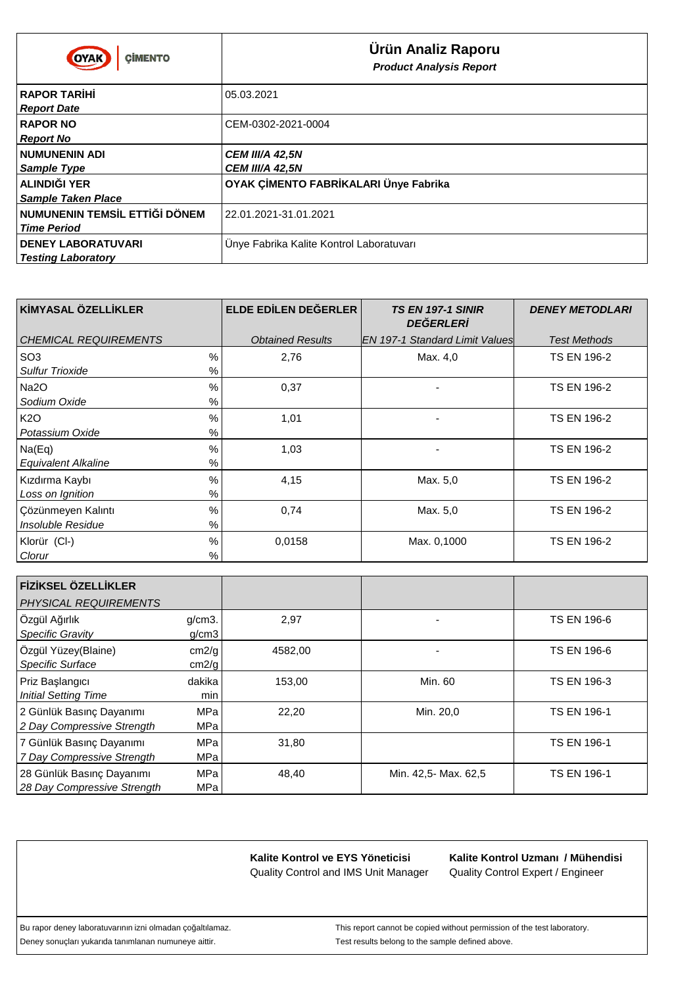| <b>CIMENTO</b><br>OYAK                                     | Ürün Analiz Raporu<br><b>Product Analysis Report</b> |
|------------------------------------------------------------|------------------------------------------------------|
| <b>RAPOR TAR H</b><br><b>Report Date</b>                   | 05.03.2021                                           |
| <b>RAPOR NO</b><br><b>Report No</b>                        | CEM-0302-2021-0004                                   |
| <b>NUMUNENIN ADI</b><br><b>Sample Type</b>                 | <b>CEM III/A 42,5N</b><br><b>CEM III/A 42,5N</b>     |
| ALINDI I YER<br><b>Sample Taken Place</b>                  | OYAK Ç MENTO FABR KALARI Ünye Fabrika                |
| <b>DÖNEM</b><br>NUMUNENIN TEMS L ETT<br><b>Time Period</b> | 22.01.2021-31.01.2021                                |
| <b>DENEY LABORATUVARI</b><br><b>Testing Laboratory</b>     | Unye Fabrika Kalite Kontrol Laboratuvari             |

| K MYASAL ÖZELL KLER                | ELDE ED LEN DE ERLER    | <b>TS EN 197-1 SINIR</b><br><b>DE ERLER</b> | <b>DENEY METODLARI</b> |
|------------------------------------|-------------------------|---------------------------------------------|------------------------|
| l CHEMICAL REQUIREMENTS            | <b>Obtained Results</b> | IEN 197-1 Standard Limit Valuesl            | <b>Test Methods</b>    |
| SO <sub>3</sub><br>$\frac{0}{0}$   | 2,76                    | Max. 4,0                                    | <b>TS EN 196-2</b>     |
| <b>Sulfur Trioxide</b><br>%        |                         |                                             |                        |
| $\%$<br>Na2O                       | 0,37                    |                                             | <b>TS EN 196-2</b>     |
| Sodium Oxide<br>%                  |                         |                                             |                        |
| K <sub>20</sub><br>$\%$            | 1,01                    |                                             | <b>TS EN 196-2</b>     |
| Potassium Oxide<br>$\%$            |                         |                                             |                        |
| $\frac{0}{0}$<br>Na(Eq)            | 1,03                    |                                             | <b>TS EN 196-2</b>     |
| $\%$<br><b>Equivalent Alkaline</b> |                         |                                             |                        |
| $\%$<br>Kızdırma Kaybı             | 4,15                    | Max. 5,0                                    | <b>TS EN 196-2</b>     |
| Loss on Ignition<br>%              |                         |                                             |                        |
| $\%$<br>Cözünmeyen Kalıntı         | 0,74                    | Max. 5,0                                    | <b>TS EN 196-2</b>     |
| Insoluble Residue<br>$\%$          |                         |                                             |                        |
| $\%$<br>Klorür (Cl-)               | 0.0158                  | Max. 0,1000                                 | <b>TS EN 196-2</b>     |
| %<br>Clorur                        |                         |                                             |                        |

| F Z KSEL ÖZELL KLER<br><b>PHYSICAL REQUIREMENTS</b>      |                          |         |                      |                    |
|----------------------------------------------------------|--------------------------|---------|----------------------|--------------------|
| Özgül A ırlık<br><b>Specific Gravity</b>                 | $q/cm3$ .<br>q/cm3       | 2,97    |                      | <b>TS EN 196-6</b> |
| Özgül Yüzey(Blaine)<br>Specific Surface                  | cm2/g<br>cm2/g           | 4582,00 |                      | <b>TS EN 196-6</b> |
| Priz Ba langıcı<br><b>Initial Setting Time</b>           | dakika<br>min            | 153,00  | Min. 60              | <b>TS EN 196-3</b> |
| 2 Günlük Basınç Dayanımı<br>2 Day Compressive Strength   | <b>MPa</b><br><b>MPa</b> | 22,20   | Min. 20,0            | <b>TS EN 196-1</b> |
| 7 Günlük Basınç Dayanımı<br>7 Day Compressive Strength   | MPa<br>MPa               | 31,80   |                      | <b>TS EN 196-1</b> |
| 28 Günlük Basınç Dayanımı<br>28 Day Compressive Strength | MPa<br>MPa               | 48,40   | Min. 42,5- Max. 62,5 | <b>TS EN 196-1</b> |

Quality Control Expert / Engineer **Kalite Kontrol Uzmanı / Mühendisi**

Deney sonuçları yukarıda tanımlanan numuneye aittir. Test results belong to the sample defined above.